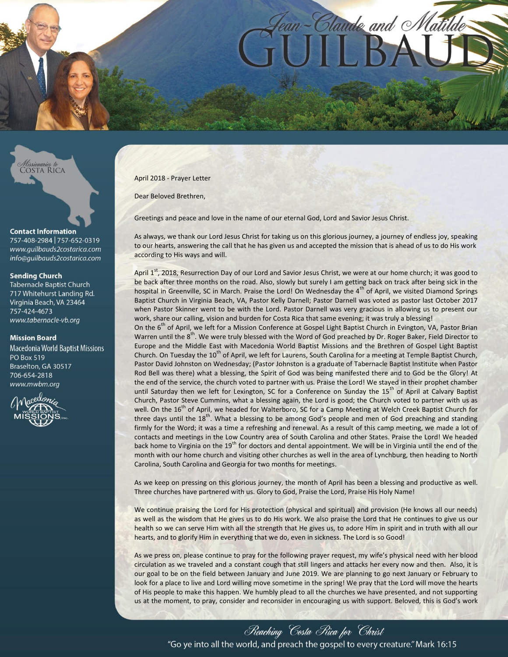

*Missionaries to*<br>COSTA RICA

### **Contact Information**

757-408-2984 757-652-0319 www.quilbauds2costarica.com info@quilbauds2costarica.com

### **Sending Church**

**Tabernacle Baptist Church** 717 Whitehurst Landing Rd. Virginia Beach, VA 23464 757-424-4673 www.tabernacle-vb.org

### **Mission Board**

**Macedonia World Baptist Missions PO Box 519** Braselton, GA 30517 706-654-2818 www.mwbm.org



April 2018 - Prayer Letter

Dear Beloved Brethren,

Greetings and peace and love in the name of our eternal God, Lord and Savior Jesus Christ.

As always, we thank our Lord Jesus Christ for taking us on this glorious journey, a journey of endless joy, speaking to our hearts, answering the call that he has given us and accepted the mission that is ahead of us to do His work according to His ways and will.

April 1<sup>st</sup>, 2018, Resurrection Day of our Lord and Savior Jesus Christ, we were at our home church; it was good to be back after three months on the road. Also, slowly but surely I am getting back on track after being sick in the hospital in Greenville, SC in March. Praise the Lord! On Wednesday the 4<sup>th</sup> of April, we visited Diamond Springs Baptist Church in Virginia Beach, VA, Pastor Kelly Darnell; Pastor Darnell was voted as pastor last October 2017 when Pastor Skinner went to be with the Lord. Pastor Darnell was very gracious in allowing us to present our work, share our calling, vision and burden for Costa Rica that same evening; it was truly a blessing!

On the 6<sup>th</sup> of April, we left for a Mission Conference at Gospel Light Baptist Church in Evington, VA, Pastor Brian Warren until the 8<sup>th</sup>. We were truly blessed with the Word of God preached by Dr. Roger Baker, Field Director to Europe and the Middle East with Macedonia World Baptist Missions and the Brethren of Gospel Light Baptist Church. On Tuesday the  $10^{th}$  of April, we left for Laurens, South Carolina for a meeting at Temple Baptist Church, Pastor David Johnston on Wednesday; (Pastor Johnston is a graduate of Tabernacle Baptist Institute when Pastor Rod Bell was there) what a blessing, the Spirit of God was being manifested there and to God be the Glory! At the end of the service, the church voted to partner with us. Praise the Lord! We stayed in their prophet chamber until Saturday then we left for Lexington, SC for a Conference on Sunday the 15<sup>th</sup> of April at Calvary Baptist Church, Pastor Steve Cummins, what a blessing again, the Lord is good; the Church voted to partner with us as well. On the 16<sup>th</sup> of April, we headed for Walterboro, SC for a Camp Meeting at Welch Creek Baptist Church for three days until the 18<sup>th</sup>. What a blessing to be among God's people and men of God preaching and standing firmly for the Word; it was a time a refreshing and renewal. As a result of this camp meeting, we made a lot of contacts and meetings in the Low Country area of South Carolina and other States. Praise the Lord! We headed back home to Virginia on the 19<sup>th</sup> for doctors and dental appointment. We will be in Virginia until the end of the month with our home church and visiting other churches as well in the area of Lynchburg, then heading to North Carolina, South Carolina and Georgia for two months for meetings.

As we keep on pressing on this glorious journey, the month of April has been a blessing and productive as well. Three churches have partnered with us. Glory to God, Praise the Lord, Praise His Holy Name!

We continue praising the Lord for His protection (physical and spiritual) and provision (He knows all our needs) as well as the wisdom that He gives us to do His work. We also praise the Lord that He continues to give us our health so we can serve Him with all the strength that He gives us, to adore Him in spirit and in truth with all our hearts, and to glorify Him in everything that we do, even in sickness. The Lord is so Good!

As we press on, please continue to pray for the following prayer request, my wife's physical need with her blood circulation as we traveled and a constant cough that still lingers and attacks her every now and then. Also, it is our goal to be on the field between January and June 2019. We are planning to go next January or February to look for a place to live and Lord willing move sometime in the spring! We pray that the Lord will move the hearts of His people to make this happen. We humbly plead to all the churches we have presented, and not supporting us at the moment, to pray, consider and reconsider in encouraging us with support. Beloved, this is God's work